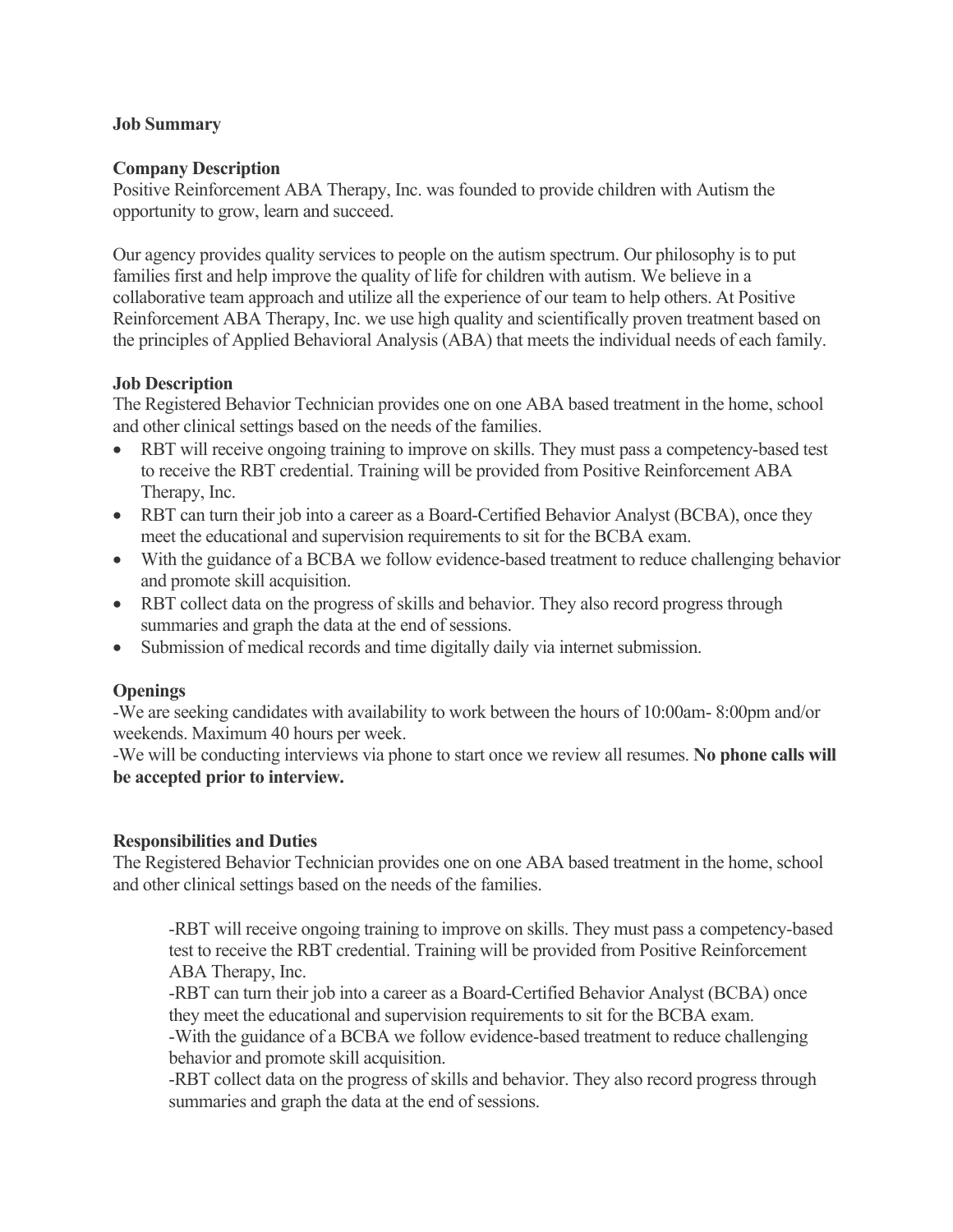## **Job Summary**

#### **Company Description**

Positive Reinforcement ABA Therapy, Inc. was founded to provide children with Autism the opportunity to grow, learn and succeed.

Our agency provides quality services to people on the autism spectrum. Our philosophy is to put families first and help improve the quality of life for children with autism. We believe in a collaborative team approach and utilize all the experience of our team to help others. At Positive Reinforcement ABA Therapy, Inc. we use high quality and scientifically proven treatment based on the principles of Applied Behavioral Analysis (ABA) that meets the individual needs of each family.

## **Job Description**

The Registered Behavior Technician provides one on one ABA based treatment in the home, school and other clinical settings based on the needs of the families.

- RBT will receive ongoing training to improve on skills. They must pass a competency-based test to receive the RBT credential. Training will be provided from Positive Reinforcement ABA Therapy, Inc.
- RBT can turn their job into a career as a Board-Certified Behavior Analyst (BCBA), once they meet the educational and supervision requirements to sit for the BCBA exam.
- With the guidance of a BCBA we follow evidence-based treatment to reduce challenging behavior and promote skill acquisition.
- RBT collect data on the progress of skills and behavior. They also record progress through summaries and graph the data at the end of sessions.
- Submission of medical records and time digitally daily via internet submission.

# **Openings**

-We are seeking candidates with availability to work between the hours of 10:00am- 8:00pm and/or weekends. Maximum 40 hours per week.

-We will be conducting interviews via phone to start once we review all resumes. **No phone calls will be accepted prior to interview.**

#### **Responsibilities and Duties**

The Registered Behavior Technician provides one on one ABA based treatment in the home, school and other clinical settings based on the needs of the families.

-RBT will receive ongoing training to improve on skills. They must pass a competency-based test to receive the RBT credential. Training will be provided from Positive Reinforcement ABA Therapy, Inc.

-RBT can turn their job into a career as a Board-Certified Behavior Analyst (BCBA) once they meet the educational and supervision requirements to sit for the BCBA exam.

-With the guidance of a BCBA we follow evidence-based treatment to reduce challenging behavior and promote skill acquisition.

-RBT collect data on the progress of skills and behavior. They also record progress through summaries and graph the data at the end of sessions.